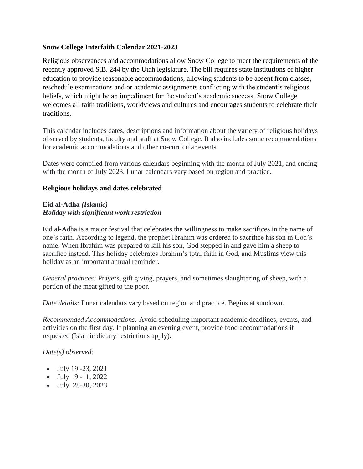### **Snow College Interfaith Calendar 2021-2023**

Religious observances and accommodations allow Snow College to meet the requirements of the recently approved S.B. 244 by the Utah legislature. The bill requires state institutions of higher education to provide reasonable accommodations, allowing students to be absent from classes, reschedule examinations and or academic assignments conflicting with the student's religious beliefs, which might be an impediment for the student's academic success. Snow College welcomes all faith traditions, worldviews and cultures and encourages students to celebrate their traditions.

This calendar includes dates, descriptions and information about the variety of religious holidays observed by students, faculty and staff at Snow College. It also includes some recommendations for academic accommodations and other co-curricular events.

Dates were compiled from various calendars beginning with the month of July 2021, and ending with the month of July 2023. Lunar calendars vary based on region and practice.

#### **Religious holidays and dates celebrated**

### **Eid al-Adha** *(Islamic) Holiday with significant work restriction*

Eid al-Adha is a major festival that celebrates the willingness to make sacrifices in the name of one's faith. According to legend, the prophet Ibrahim was ordered to sacrifice his son in God's name. When Ibrahim was prepared to kill his son, God stepped in and gave him a sheep to sacrifice instead. This holiday celebrates Ibrahim's total faith in God, and Muslims view this holiday as an important annual reminder.

*General practices:* Prayers, gift giving, prayers, and sometimes slaughtering of sheep, with a portion of the meat gifted to the poor.

*Date details:* Lunar calendars vary based on region and practice. Begins at sundown.

*Recommended Accommodations:* Avoid scheduling important academic deadlines, events, and activities on the first day. If planning an evening event, provide food accommodations if requested (Islamic dietary restrictions apply).

- July 19 -23, 2021
- July  $9-11, 2022$
- July 28-30, 2023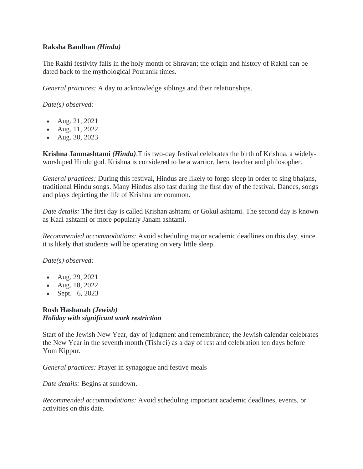### **Raksha Bandhan** *(Hindu)*

The Rakhi festivity falls in the holy month of Shravan; the origin and history of Rakhi can be dated back to the mythological Pouranik times.

*General practices:* A day to acknowledge siblings and their relationships.

*Date(s) observed:*

- Aug. 21, 2021
- Aug. 11, 2022
- Aug. 30, 2023

**Krishna Janmashtami** *(Hindu)*.This two-day festival celebrates the birth of Krishna, a widelyworshiped Hindu god. Krishna is considered to be a warrior, hero, teacher and philosopher.

*General practices:* During this festival, Hindus are likely to forgo sleep in order to sing bhajans, traditional Hindu songs. Many Hindus also fast during the first day of the festival. Dances, songs and plays depicting the life of Krishna are common.

*Date details:* The first day is called Krishan ashtami or Gokul ashtami. The second day is known as Kaal ashtami or more popularly Janam ashtami.

*Recommended accommodations:* Avoid scheduling major academic deadlines on this day, since it is likely that students will be operating on very little sleep.

*Date(s) observed:* 

- Aug. 29, 2021
- Aug. 18, 2022
- Sept. 6, 2023

# **Rosh Hashanah** *(Jewish) Holiday with significant work restriction*

Start of the Jewish New Year, day of judgment and remembrance; the Jewish calendar celebrates the New Year in the seventh month (Tishrei) as a day of rest and celebration ten days before Yom Kippur.

*General practices:* Prayer in synagogue and festive meals

*Date details:* Begins at sundown.

*Recommended accommodations:* Avoid scheduling important academic deadlines, events, or activities on this date.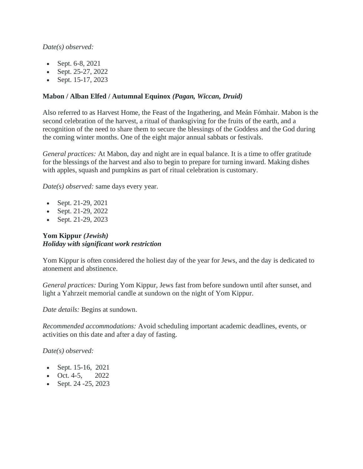# *Date(s) observed:*

- Sept. 6-8, 2021
- Sept. 25-27, 2022
- Sept. 15-17, 2023

# **Mabon / Alban Elfed / Autumnal Equinox** *(Pagan, Wiccan, Druid)*

Also referred to as Harvest Home, the Feast of the Ingathering, and Meán Fómhair. Mabon is the second celebration of the harvest, a ritual of thanksgiving for the fruits of the earth, and a recognition of the need to share them to secure the blessings of the Goddess and the God during the coming winter months. One of the eight major annual sabbats or festivals.

*General practices:* At Mabon, day and night are in equal balance. It is a time to offer gratitude for the blessings of the harvest and also to begin to prepare for turning inward. Making dishes with apples, squash and pumpkins as part of ritual celebration is customary.

*Date(s) observed:* same days every year.

- Sept. 21-29, 2021
- Sept. 21-29, 2022
- Sept. 21-29, 2023

# **Yom Kippur** *(Jewish) Holiday with significant work restriction*

Yom Kippur is often considered the holiest day of the year for Jews, and the day is dedicated to atonement and abstinence.

*General practices:* During Yom Kippur, Jews fast from before sundown until after sunset, and light a Yahrzeit memorial candle at sundown on the night of Yom Kippur.

*Date details:* Begins at sundown.

*Recommended accommodations:* Avoid scheduling important academic deadlines, events, or activities on this date and after a day of fasting.

- Sept. 15-16, 2021
- Oct. 4-5,  $2022$
- Sept. 24 25, 2023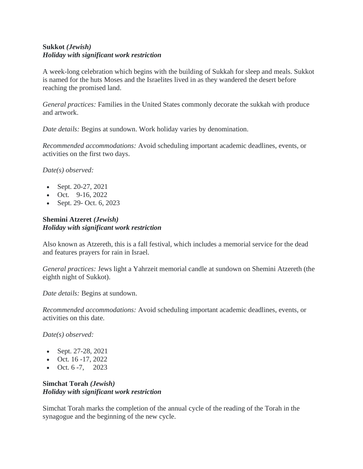# **Sukkot** *(Jewish) Holiday with significant work restriction*

A week-long celebration which begins with the building of Sukkah for sleep and meals. Sukkot is named for the huts Moses and the Israelites lived in as they wandered the desert before reaching the promised land.

*General practices:* Families in the United States commonly decorate the sukkah with produce and artwork.

*Date details:* Begins at sundown. Work holiday varies by denomination.

*Recommended accommodations:* Avoid scheduling important academic deadlines, events, or activities on the first two days.

*Date(s) observed:*

- Sept. 20-27, 2021
- Oct. 9-16, 2022
- Sept. 29- Oct. 6, 2023

# **Shemini Atzeret** *(Jewish) Holiday with significant work restriction*

Also known as Atzereth, this is a fall festival, which includes a memorial service for the dead and features prayers for rain in Israel.

*General practices:* Jews light a Yahrzeit memorial candle at sundown on Shemini Atzereth (the eighth night of Sukkot).

*Date details:* Begins at sundown.

*Recommended accommodations:* Avoid scheduling important academic deadlines, events, or activities on this date.

*Date(s) observed:* 

- Sept. 27-28, 2021
- Oct.  $16 17$ , 2022
- Oct.  $6 7$ , 2023

# **Simchat Torah** *(Jewish) Holiday with significant work restriction*

Simchat Torah marks the completion of the annual cycle of the reading of the Torah in the synagogue and the beginning of the new cycle.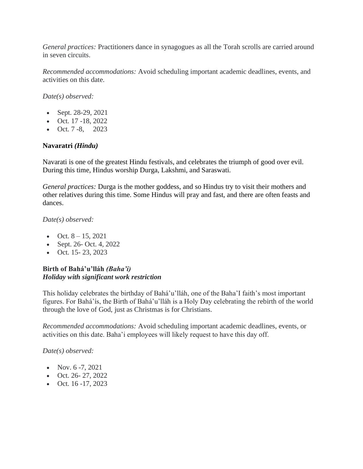*General practices:* Practitioners dance in synagogues as all the Torah scrolls are carried around in seven circuits.

*Recommended accommodations:* Avoid scheduling important academic deadlines, events, and activities on this date.

*Date(s) observed:* 

- Sept. 28-29, 2021
- Oct. 17 -18, 2022
- Oct.  $7 8$ , 2023

# **Navaratri** *(Hindu)*

Navarati is one of the greatest Hindu festivals, and celebrates the triumph of good over evil. During this time, Hindus worship Durga, Lakshmi, and Saraswati.

*General practices:* Durga is the mother goddess, and so Hindus try to visit their mothers and other relatives during this time. Some Hindus will pray and fast, and there are often feasts and dances.

*Date(s) observed:* 

- Oct.  $8 15$ , 2021
- Sept. 26- Oct. 4, 2022
- Oct.  $15 23$ , 2023

# **Birth of Bahá'u'lláh** *(Baha'i) Holiday with significant work restriction*

This holiday celebrates the birthday of Bahá'u'lláh, one of the Baha'I faith's most important figures. For Bahá'ís, the Birth of Bahá'u'lláh is a Holy Day celebrating the rebirth of the world through the love of God, just as Christmas is for Christians.

*Recommended accommodations:* Avoid scheduling important academic deadlines, events, or activities on this date. Baha'i employees will likely request to have this day off.

- Nov.  $6 7$ , 2021
- Oct. 26- 27, 2022
- Oct.  $16 17$ , 2023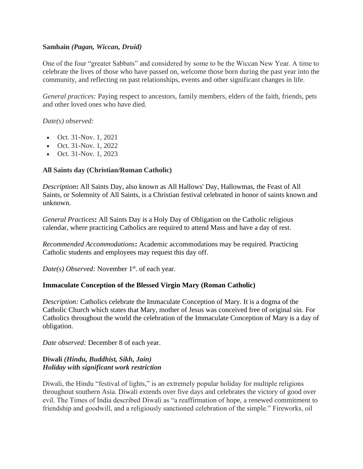### **Samhain** *(Pagan, Wiccan, Druid)*

One of the four "greater Sabbats" and considered by some to be the Wiccan New Year. A time to celebrate the lives of those who have passed on, welcome those born during the past year into the community, and reflecting on past relationships, events and other significant changes in life.

*General practices:* Paying respect to ancestors, family members, elders of the faith, friends, pets and other loved ones who have died.

*Date(s) observed:* 

- Oct. 31-Nov. 1, 2021
- Oct. 31-Nov. 1, 2022
- Oct. 31-Nov. 1, 2023

# **All Saints day (Christian/Roman Catholic)**

*Description***:** All Saints Day, also known as All Hallows' Day, Hallowmas, the Feast of All Saints, or Solemnity of All Saints, is a Christian festival celebrated in honor of saints known and unknown.

*General Practices***:** All Saints Day is a Holy Day of Obligation on the Catholic religious calendar, where practicing Catholics are required to attend Mass and have a day of rest.

*Recommended Accommodations***:** Academic accommodations may be required. Practicing Catholic students and employees may request this day off.

*Date(s) Observed:* November 1<sup>st</sup>. of each year.

# **Immaculate Conception of the Blessed Virgin Mary (Roman Catholic)**

*Description:* Catholics celebrate the Immaculate Conception of Mary. It is a dogma of the Catholic Church which states that Mary, mother of Jesus was conceived free of original sin. For Catholics throughout the world the celebration of the Immaculate Conception of Mary is a day of obligation.

*Date observed:* December 8 of each year.

### **Diwali** *(Hindu, Buddhist, Sikh, Jain) Holiday with significant work restriction*

Diwali, the Hindu "festival of lights," is an extremely popular holiday for multiple religions throughout southern Asia. Diwali extends over five days and celebrates the victory of good over evil. The Times of India described Diwali as "a reaffirmation of hope, a renewed commitment to friendship and goodwill, and a religiously sanctioned celebration of the simple." Fireworks, oil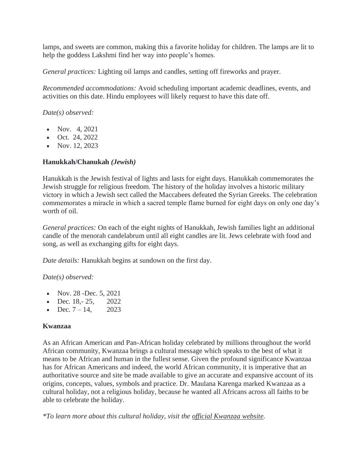lamps, and sweets are common, making this a favorite holiday for children. The lamps are lit to help the goddess Lakshmi find her way into people's homes.

*General practices:* Lighting oil lamps and candles, setting off fireworks and prayer.

*Recommended accommodations:* Avoid scheduling important academic deadlines, events, and activities on this date. Hindu employees will likely request to have this date off.

*Date(s) observed:*

- Nov.  $4, 2021$
- Oct. 24, 2022
- Nov.  $12, 2023$

### **Hanukkah/Chanukah** *(Jewish)*

Hanukkah is the Jewish festival of lights and lasts for eight days. Hanukkah commemorates the Jewish struggle for religious freedom. The history of the holiday involves a historic military victory in which a Jewish sect called the Maccabees defeated the Syrian Greeks. The celebration commemorates a miracle in which a sacred temple flame burned for eight days on only one day's worth of oil.

*General practices:* On each of the eight nights of Hanukkah, Jewish families light an additional candle of the menorah candelabrum until all eight candles are lit. Jews celebrate with food and song, as well as exchanging gifts for eight days.

*Date details:* Hanukkah begins at sundown on the first day.

*Date(s) observed:*

- Nov.  $28$  -Dec. 5,  $2021$
- Dec.  $18.-25.$  2022
- Dec.  $7 14$ , 2023

#### **Kwanzaa**

As an African American and Pan-African holiday celebrated by millions throughout the world African community, Kwanzaa brings a cultural message which speaks to the best of what it means to be African and human in the fullest sense. Given the profound significance Kwanzaa has for African Americans and indeed, the world African community, it is imperative that an authoritative source and site be made available to give an accurate and expansive account of its origins, concepts, values, symbols and practice. Dr. Maulana Karenga marked Kwanzaa as a cultural holiday, not a religious holiday, because he wanted all Africans across all faiths to be able to celebrate the holiday.

*\*To learn more about this cultural holiday, visit the [official Kwanzaa website.](http://www.officialkwanzaawebsite.org/)*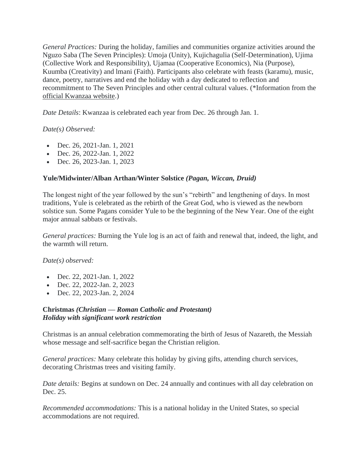*General Practices:* During the holiday, families and communities organize activities around the Nguzo Saba (The Seven Principles): Umoja (Unity), Kujichagulia (Self-Determination), Ujima (Collective Work and Responsibility), Ujamaa (Cooperative Economics), Nia (Purpose), Kuumba (Creativity) and lmani (Faith). Participants also celebrate with feasts (karamu), music, dance, poetry, narratives and end the holiday with a day dedicated to reflection and recommitment to The Seven Principles and other central cultural values. (\*Information from the [official Kwanzaa website.](http://www.officialkwanzaawebsite.org/))

*Date Details*: Kwanzaa is celebrated each year from Dec. 26 through Jan. 1.

### *Date(s) Observed:*

- Dec. 26, 2021-Jan. 1, 2021
- Dec. 26, 2022-Jan. 1, 2022
- Dec. 26, 2023-Jan. 1, 2023

### **Yule/Midwinter/Alban Arthan/Winter Solstice** *(Pagan, Wiccan, Druid)*

The longest night of the year followed by the sun's "rebirth" and lengthening of days. In most traditions, Yule is celebrated as the rebirth of the Great God, who is viewed as the newborn solstice sun. Some Pagans consider Yule to be the beginning of the New Year. One of the eight major annual sabbats or festivals.

*General practices:* Burning the Yule log is an act of faith and renewal that, indeed, the light, and the warmth will return.

*Date(s) observed:*

- Dec. 22, 2021-Jan. 1, 2022
- Dec. 22, 2022-Jan. 2, 2023
- Dec. 22, 2023-Jan. 2, 2024

# **Christmas** *(Christian — Roman Catholic and Protestant) Holiday with significant work restriction*

Christmas is an annual celebration commemorating the birth of Jesus of Nazareth, the Messiah whose message and self-sacrifice began the Christian religion.

*General practices:* Many celebrate this holiday by giving gifts, attending church services, decorating Christmas trees and visiting family.

*Date details:* Begins at sundown on Dec. 24 annually and continues with all day celebration on Dec. 25.

*Recommended accommodations:* This is a national holiday in the United States, so special accommodations are not required.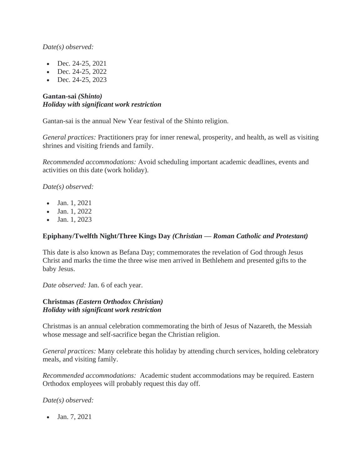# *Date(s) observed:*

- Dec. 24-25, 2021
- Dec. 24-25, 2022
- Dec.  $24-25$ ,  $2023$

# **Gantan-sai** *(Shinto) Holiday with significant work restriction*

Gantan-sai is the annual New Year festival of the Shinto religion.

*General practices:* Practitioners pray for inner renewal, prosperity, and health, as well as visiting shrines and visiting friends and family.

*Recommended accommodations:* Avoid scheduling important academic deadlines, events and activities on this date (work holiday).

*Date(s) observed:* 

- Jan. 1, 2021
- Jan. 1, 2022
- Jan. 1, 2023

# **Epiphany/Twelfth Night/Three Kings Day** *(Christian — Roman Catholic and Protestant)*

This date is also known as Befana Day; commemorates the revelation of God through Jesus Christ and marks the time the three wise men arrived in Bethlehem and presented gifts to the baby Jesus.

*Date observed:* Jan. 6 of each year.

#### **Christmas** *(Eastern Orthodox Christian) Holiday with significant work restriction*

Christmas is an annual celebration commemorating the birth of Jesus of Nazareth, the Messiah whose message and self-sacrifice began the Christian religion.

*General practices:* Many celebrate this holiday by attending church services, holding celebratory meals, and visiting family.

*Recommended accommodations:* Academic student accommodations may be required. Eastern Orthodox employees will probably request this day off.

*Date(s) observed:* 

• Jan. 7, 2021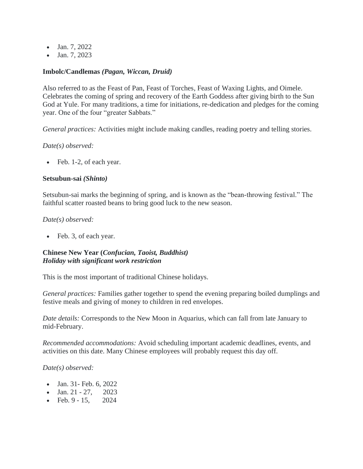- Jan. 7, 2022
- Jan. 7, 2023

#### **Imbolc/Candlemas** *(Pagan, Wiccan, Druid)*

Also referred to as the Feast of Pan, Feast of Torches, Feast of Waxing Lights, and Oimele. Celebrates the coming of spring and recovery of the Earth Goddess after giving birth to the Sun God at Yule. For many traditions, a time for initiations, re-dedication and pledges for the coming year. One of the four "greater Sabbats."

*General practices:* Activities might include making candles, reading poetry and telling stories.

#### *Date(s) observed:*

• Feb. 1-2, of each year.

#### **Setsubun-sai** *(Shinto)*

Setsubun-sai marks the beginning of spring, and is known as the "bean-throwing festival." The faithful scatter roasted beans to bring good luck to the new season.

#### *Date(s) observed:*

• Feb. 3, of each year.

### **Chinese New Year (***Confucian, Taoist, Buddhist) Holiday with significant work restriction*

This is the most important of traditional Chinese holidays.

*General practices:* Families gather together to spend the evening preparing boiled dumplings and festive meals and giving of money to children in red envelopes.

*Date details:* Corresponds to the New Moon in Aquarius, which can fall from late January to mid-February.

*Recommended accommodations:* Avoid scheduling important academic deadlines, events, and activities on this date. Many Chinese employees will probably request this day off.

- Jan. 31- Feb. 6, 2022
- Jan.  $21 27$ , 2023
- Feb. 9 15, 2024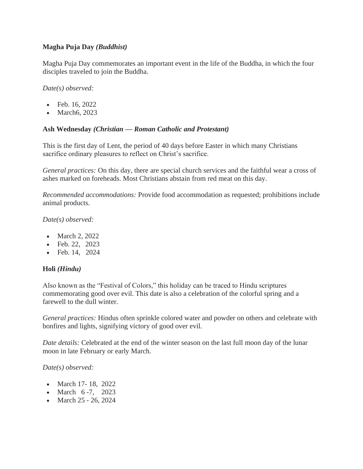# **Magha Puja Day** *(Buddhist)*

Magha Puja Day commemorates an important event in the life of the Buddha, in which the four disciples traveled to join the Buddha.

*Date(s) observed:*

- Feb. 16, 2022
- March6, 2023

### **Ash Wednesday** *(Christian — Roman Catholic and Protestant)*

This is the first day of Lent, the period of 40 days before Easter in which many Christians sacrifice ordinary pleasures to reflect on Christ's sacrifice.

*General practices:* On this day, there are special church services and the faithful wear a cross of ashes marked on foreheads. Most Christians abstain from red meat on this day.

*Recommended accommodations:* Provide food accommodation as requested; prohibitions include animal products.

*Date(s) observed:*

- March 2, 2022
- Feb. 22, 2023
- Feb. 14, 2024

# **Holi** *(Hindu)*

Also known as the "Festival of Colors," this holiday can be traced to Hindu scriptures commemorating good over evil. This date is also a celebration of the colorful spring and a farewell to the dull winter.

*General practices:* Hindus often sprinkle colored water and powder on others and celebrate with bonfires and lights, signifying victory of good over evil.

*Date details:* Celebrated at the end of the winter season on the last full moon day of the lunar moon in late February or early March.

- March 17- 18, 2022
- March 6-7, 2023
- March 25 26, 2024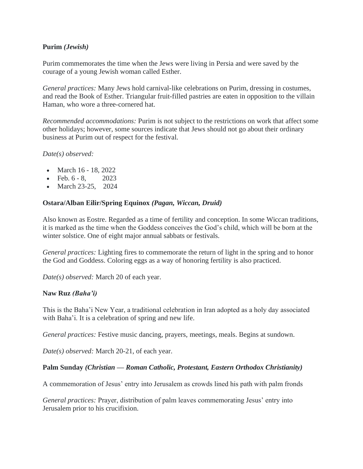### **Purim** *(Jewish)*

Purim commemorates the time when the Jews were living in Persia and were saved by the courage of a young Jewish woman called Esther.

*General practices:* Many Jews hold carnival-like celebrations on Purim, dressing in costumes, and read the Book of Esther. Triangular fruit-filled pastries are eaten in opposition to the villain Haman, who wore a three-cornered hat.

*Recommended accommodations:* Purim is not subject to the restrictions on work that affect some other holidays; however, some sources indicate that Jews should not go about their ordinary business at Purim out of respect for the festival.

#### *Date(s) observed:*

- March 16 18, 2022
- Feb.  $6 8$ , 2023
- March 23-25, 2024

### **Ostara/Alban Eilir/Spring Equinox** *(Pagan, Wiccan, Druid)*

Also known as Eostre. Regarded as a time of fertility and conception. In some Wiccan traditions, it is marked as the time when the Goddess conceives the God's child, which will be born at the winter solstice. One of eight major annual sabbats or festivals.

*General practices:* Lighting fires to commemorate the return of light in the spring and to honor the God and Goddess. Coloring eggs as a way of honoring fertility is also practiced.

*Date(s) observed:* March 20 of each year.

#### **Naw Ruz** *(Baha'i)*

This is the Baha'i New Year, a traditional celebration in Iran adopted as a holy day associated with Baha'i. It is a celebration of spring and new life.

*General practices:* Festive music dancing, prayers, meetings, meals. Begins at sundown.

*Date(s) observed:* March 20-21, of each year.

#### **Palm Sunday** *(Christian — Roman Catholic, Protestant, Eastern Orthodox Christianity)*

A commemoration of Jesus' entry into Jerusalem as crowds lined his path with palm fronds

*General practices:* Prayer, distribution of palm leaves commemorating Jesus' entry into Jerusalem prior to his crucifixion.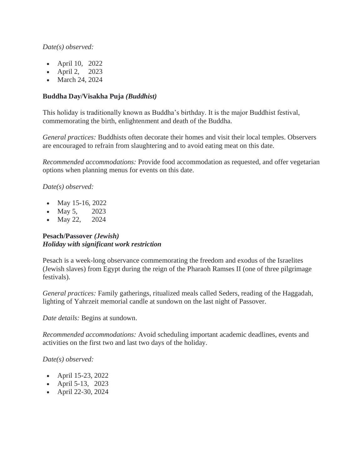# *Date(s) observed:*

- April 10, 2022
- April 2, 2023
- March 24, 2024

# **Buddha Day/Visakha Puja** *(Buddhist)*

This holiday is traditionally known as Buddha's birthday. It is the major Buddhist festival, commemorating the birth, enlightenment and death of the Buddha.

*General practices:* Buddhists often decorate their homes and visit their local temples. Observers are encouraged to refrain from slaughtering and to avoid eating meat on this date.

*Recommended accommodations:* Provide food accommodation as requested, and offer vegetarian options when planning menus for events on this date.

*Date(s) observed:*

- May 15-16, 2022
- May 5, 2023
- May 22, 2024

# **Pesach/Passover** *(Jewish) Holiday with significant work restriction*

Pesach is a week-long observance commemorating the freedom and exodus of the Israelites (Jewish slaves) from Egypt during the reign of the Pharaoh Ramses II (one of three pilgrimage festivals).

*General practices:* Family gatherings, ritualized meals called Seders, reading of the Haggadah, lighting of Yahrzeit memorial candle at sundown on the last night of Passover.

*Date details:* Begins at sundown.

*Recommended accommodations:* Avoid scheduling important academic deadlines, events and activities on the first two and last two days of the holiday.

- April 15-23, 2022
- April 5-13, 2023
- April 22-30, 2024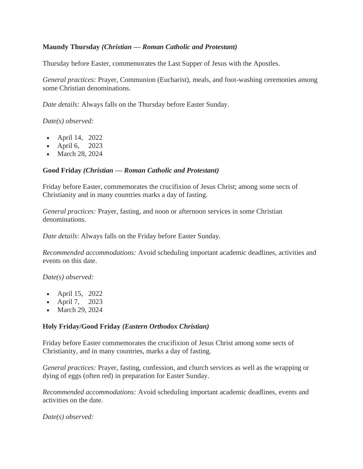### **Maundy Thursday** *(Christian — Roman Catholic and Protestant)*

Thursday before Easter, commemorates the Last Supper of Jesus with the Apostles.

*General practices:* Prayer, Communion (Eucharist), meals, and foot-washing ceremonies among some Christian denominations.

*Date details:* Always falls on the Thursday before Easter Sunday.

*Date(s) observed:*

- April 14, 2022
- April 6, 2023
- March 28, 2024

#### **Good Friday** *(Christian — Roman Catholic and Protestant)*

Friday before Easter, commemorates the crucifixion of Jesus Christ; among some sects of Christianity and in many countries marks a day of fasting.

*General practices:* Prayer, fasting, and noon or afternoon services in some Christian denominations.

*Date details*: Always falls on the Friday before Easter Sunday.

*Recommended accommodations:* Avoid scheduling important academic deadlines, activities and events on this date.

*Date(s) observed:*

- April 15, 2022
- April 7, 2023
- March 29, 2024

#### **Holy Friday/Good Friday** *(Eastern Orthodox Christian)*

Friday before Easter commemorates the crucifixion of Jesus Christ among some sects of Christianity, and in many countries, marks a day of fasting.

*General practices:* Prayer, fasting, confession, and church services as well as the wrapping or dying of eggs (often red) in preparation for Easter Sunday.

*Recommended accommodations:* Avoid scheduling important academic deadlines, events and activities on the date.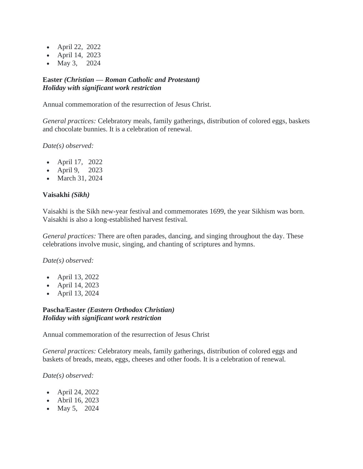- April 22, 2022
- April 14, 2023
- May 3, 2024

### **Easter** *(Christian — Roman Catholic and Protestant) Holiday with significant work restriction*

Annual commemoration of the resurrection of Jesus Christ.

*General practices:* Celebratory meals, family gatherings, distribution of colored eggs, baskets and chocolate bunnies. It is a celebration of renewal.

*Date(s) observed:*

- April 17, 2022
- April 9, 2023
- March 31, 2024

#### **Vaisakhi** *(Sikh)*

Vaisakhi is the Sikh new-year festival and commemorates 1699, the year Sikhism was born. Vaisakhi is also a long-established harvest festival.

*General practices:* There are often parades, dancing, and singing throughout the day. These celebrations involve music, singing, and chanting of scriptures and hymns.

*Date(s) observed:*

- April 13, 2022
- April 14, 2023
- April 13, 2024

### **Pascha/Easter** *(Eastern Orthodox Christian) Holiday with significant work restriction*

Annual commemoration of the resurrection of Jesus Christ

*General practices:* Celebratory meals, family gatherings, distribution of colored eggs and baskets of breads, meats, eggs, cheeses and other foods. It is a celebration of renewal.

- April 24, 2022
- Abril 16, 2023
- May 5, 2024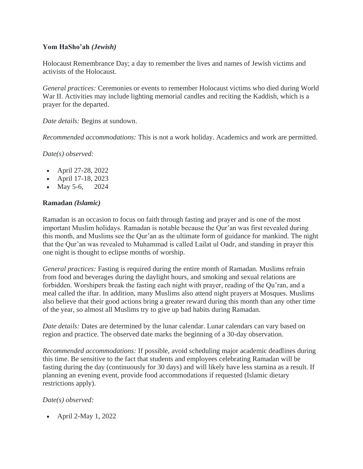# **Yom HaSho'ah** *(Jewish)*

Holocaust Remembrance Day; a day to remember the lives and names of Jewish victims and activists of the Holocaust.

*General practices:* Ceremonies or events to remember Holocaust victims who died during World War II. Activities may include lighting memorial candles and reciting the Kaddish, which is a prayer for the departed.

*Date details:* Begins at sundown.

*Recommended accommodations:* This is not a work holiday. Academics and work are permitted.

*Date(s) observed:*

- April 27-28, 2022
- April 17-18, 2023
- May 5-6, 2024

### **Ramadan** *(Islamic)*

Ramadan is an occasion to focus on faith through fasting and prayer and is one of the most important Muslim holidays. Ramadan is notable because the Qur'an was first revealed during this month, and Muslims see the Qur'an as the ultimate form of guidance for mankind. The night that the Qur'an was revealed to Muhammad is called Lailat ul Oadr, and standing in prayer this one night is thought to eclipse months of worship.

*General practices:* Fasting is required during the entire month of Ramadan. Muslims refrain from food and beverages during the daylight hours, and smoking and sexual relations are forbidden. Worshipers break the fasting each night with prayer, reading of the Qu'ran, and a meal called the iftar. In addition, many Muslims also attend night prayers at Mosques. Muslims also believe that their good actions bring a greater reward during this month than any other time of the year, so almost all Muslims try to give up bad habits during Ramadan.

*Date details:* Dates are determined by the lunar calendar. Lunar calendars can vary based on region and practice. The observed date marks the beginning of a 30-day observation.

*Recommended accommodations:* If possible, avoid scheduling major academic deadlines during this time. Be sensitive to the fact that students and employees celebrating Ramadan will be fasting during the day (continuously for 30 days) and will likely have less stamina as a result. If planning an evening event, provide food accommodations if requested (Islamic dietary restrictions apply).

#### *Date(s) observed:*

• April 2-May 1, 2022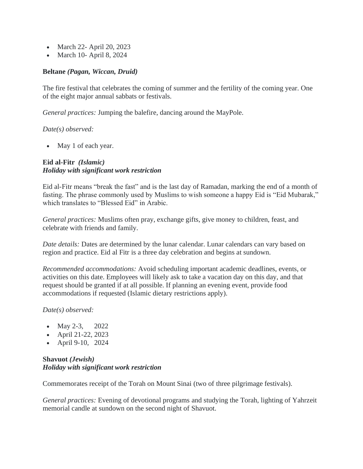- March 22- April 20, 2023
- March 10- April 8, 2024

#### **Beltane** *(Pagan, Wiccan, Druid)*

The fire festival that celebrates the coming of summer and the fertility of the coming year. One of the eight major annual sabbats or festivals.

*General practices:* Jumping the balefire, dancing around the MayPole.

*Date(s) observed:*

• May 1 of each year.

# **Eid al-Fitr** *(Islamic) Holiday with significant work restriction*

Eid al-Fitr means "break the fast" and is the last day of Ramadan, marking the end of a month of fasting. The phrase commonly used by Muslims to wish someone a happy Eid is "Eid Mubarak," which translates to "Blessed Eid" in Arabic.

*General practices:* Muslims often pray, exchange gifts, give money to children, feast, and celebrate with friends and family.

*Date details:* Dates are determined by the lunar calendar. Lunar calendars can vary based on region and practice. Eid al Fitr is a three day celebration and begins at sundown.

*Recommended accommodations:* Avoid scheduling important academic deadlines, events, or activities on this date. Employees will likely ask to take a vacation day on this day, and that request should be granted if at all possible. If planning an evening event, provide food accommodations if requested (Islamic dietary restrictions apply).

*Date(s) observed:*

- May 2-3, 2022
- April 21-22, 2023
- April 9-10, 2024

### **Shavuot** *(Jewish) Holiday with significant work restriction*

Commemorates receipt of the Torah on Mount Sinai (two of three pilgrimage festivals).

*General practices:* Evening of devotional programs and studying the Torah, lighting of Yahrzeit memorial candle at sundown on the second night of Shavuot.